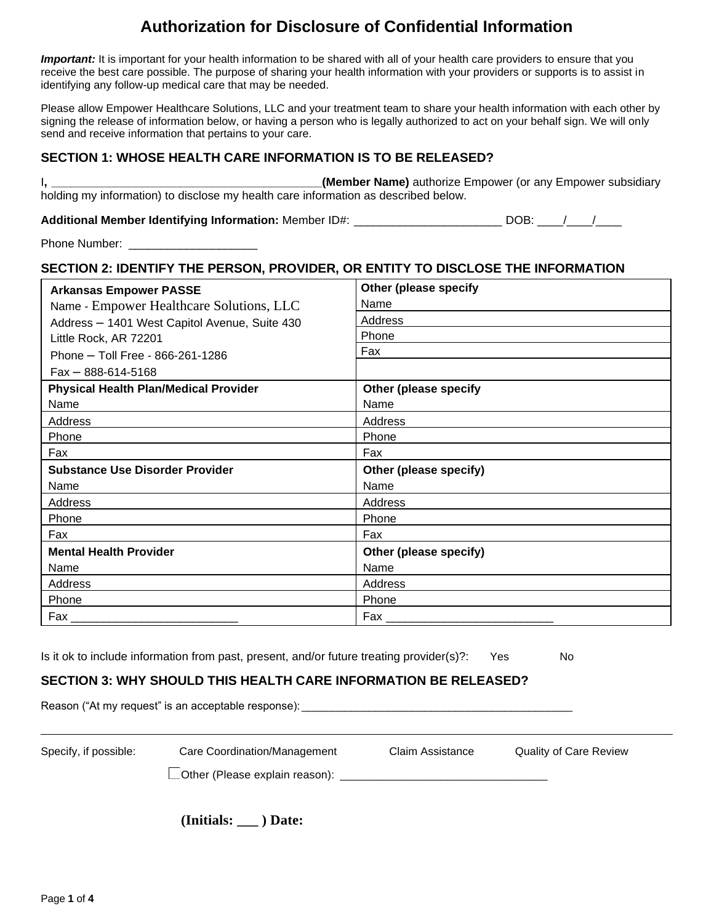*Important:* It is important for your health information to be shared with all of your health care providers to ensure that you receive the best care possible. The purpose of sharing your health information with your providers or supports is to assist in identifying any follow-up medical care that may be needed.

Please allow Empower Healthcare Solutions, LLC and your treatment team to share your health information with each other by signing the release of information below, or having a person who is legally authorized to act on your behalf sign. We will only send and receive information that pertains to your care.

## **SECTION 1: WHOSE HEALTH CARE INFORMATION IS TO BE RELEASED?**

I**, \_\_\_\_\_\_\_\_\_\_\_\_\_\_\_\_\_\_\_\_\_\_\_\_\_\_\_\_\_\_\_\_\_\_\_\_\_\_\_\_\_\_(Member Name)** authorize Empower (or any Empower subsidiary holding my information) to disclose my health care information as described below.

**Additional Member Identifying Information:** Member ID#: \_\_\_\_\_\_\_\_\_\_\_\_\_\_\_\_\_\_\_\_\_\_\_DOB: \_\_\_/\_\_\_/

Phone Number:

## **SECTION 2: IDENTIFY THE PERSON, PROVIDER, OR ENTITY TO DISCLOSE THE INFORMATION**

| <b>Arkansas Empower PASSE</b>                 | <b>Other (please specify</b> |
|-----------------------------------------------|------------------------------|
| Name - Empower Healthcare Solutions, LLC      | Name                         |
| Address - 1401 West Capitol Avenue, Suite 430 | Address                      |
| Little Rock, AR 72201                         | Phone                        |
| Phone - Toll Free - 866-261-1286              | Fax                          |
| $Fax - 888-614-5168$                          |                              |
| <b>Physical Health Plan/Medical Provider</b>  | Other (please specify        |
| Name                                          | Name                         |
| Address                                       | Address                      |
| Phone                                         | Phone                        |
| Fax                                           | Fax                          |
| <b>Substance Use Disorder Provider</b>        | Other (please specify)       |
| Name                                          | Name                         |
| Address                                       | Address                      |
| Phone                                         | Phone                        |
| Fax                                           | Fax                          |
| <b>Mental Health Provider</b>                 | Other (please specify)       |
| Name                                          | Name                         |
| Address                                       | Address                      |
| Phone                                         | Phone                        |
| Fax                                           | Fax                          |

Is it ok to include information from past, present, and/or future treating provider(s)?: Yes No

## **SECTION 3: WHY SHOULD THIS HEALTH CARE INFORMATION BE RELEASED?**

Reason ("At my request" is an acceptable response): \_\_\_\_\_\_\_\_\_\_\_\_\_\_\_\_\_\_\_\_\_\_\_\_\_\_\_\_ Specify, if possible: Care Coordination/Management Claim Assistance Quality of Care Review Other (Please explain reason): \_\_\_\_\_\_\_\_\_\_\_\_\_\_\_\_\_\_\_\_\_\_\_\_\_\_\_\_\_\_\_\_\_

**(Initials: \_\_\_ ) Date:**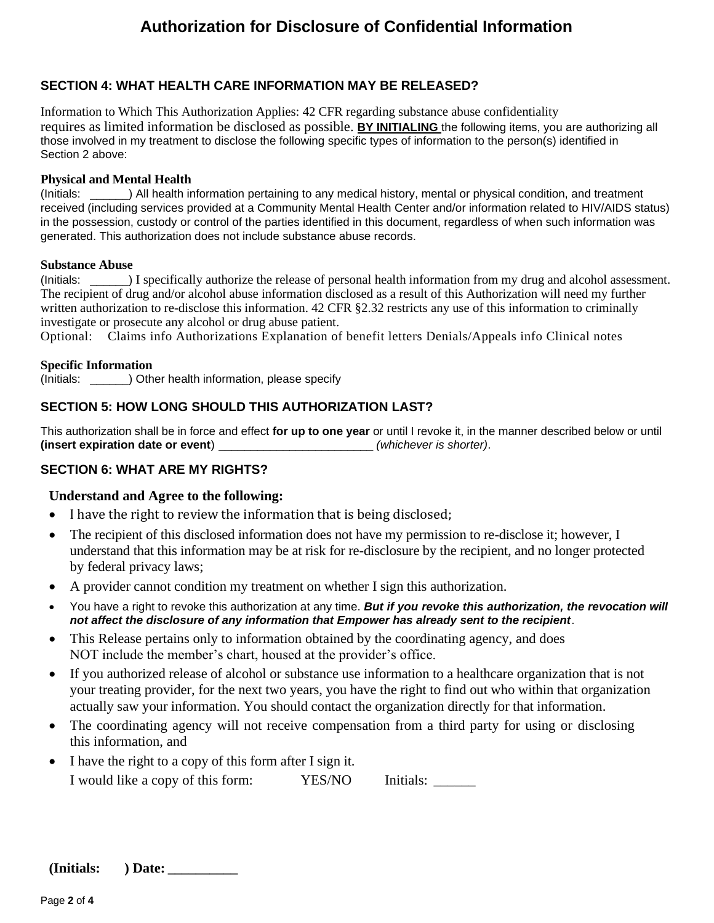### **SECTION 4: WHAT HEALTH CARE INFORMATION MAY BE RELEASED?**

Information to Which This Authorization Applies: 42 CFR regarding substance abuse confidentiality requires as limited information be disclosed as possible. **BY INITIALING** the following items, you are authorizing all those involved in my treatment to disclose the following specific types of information to the person(s) identified in Section 2 above:

#### **Physical and Mental Health**

(Initials: \_\_\_\_\_\_) All health information pertaining to any medical history, mental or physical condition, and treatment received (including services provided at a Community Mental Health Center and/or information related to HIV/AIDS status) in the possession, custody or control of the parties identified in this document, regardless of when such information was generated. This authorization does not include substance abuse records.

#### **Substance Abuse**

(Initials: \_\_\_\_\_\_) I specifically authorize the release of personal health information from my drug and alcohol assessment. The recipient of drug and/or alcohol abuse information disclosed as a result of this Authorization will need my further written authorization to re-disclose this information. 42 CFR §2.32 restricts any use of this information to criminally investigate or prosecute any alcohol or drug abuse patient.

Optional: Claims info Authorizations Explanation of benefit letters Denials/Appeals info Clinical notes

#### **Specific Information**

(Initials: \_\_\_\_\_\_) Other health information, please specify

## **SECTION 5: HOW LONG SHOULD THIS AUTHORIZATION LAST?**

This authorization shall be in force and effect **for up to one year** or until I revoke it, in the manner described below or until **(insert expiration date or event**) \_\_\_\_\_\_\_\_\_\_\_\_\_\_\_\_\_\_\_\_\_\_\_\_ *(whichever is shorter)*.

### **SECTION 6: WHAT ARE MY RIGHTS?**

### **Understand and Agree to the following:**

- I have the right to review the information that is being disclosed;
- The recipient of this disclosed information does not have my permission to re-disclose it; however, I understand that this information may be at risk for re-disclosure by the recipient, and no longer protected by federal privacy laws;
- A provider cannot condition my treatment on whether I sign this authorization.
- You have a right to revoke this authorization at any time. *But if you revoke this authorization, the revocation will not affect the disclosure of any information that Empower has already sent to the recipient*.
- This Release pertains only to information obtained by the coordinating agency, and does NOT include the member's chart, housed at the provider's office.
- If you authorized release of alcohol or substance use information to a healthcare organization that is not your treating provider, for the next two years, you have the right to find out who within that organization actually saw your information. You should contact the organization directly for that information.
- The coordinating agency will not receive compensation from a third party for using or disclosing this information, and
- I have the right to a copy of this form after I sign it. I would like a copy of this form: YES/NO Initials: \_\_\_\_\_\_\_